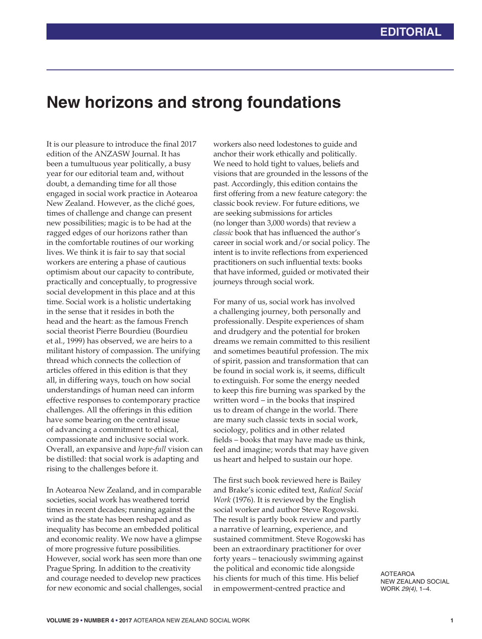## **New horizons and strong foundations**

It is our pleasure to introduce the final 2017 edition of the ANZASW Journal. It has been a tumultuous year politically, a busy year for our editorial team and, without doubt, a demanding time for all those engaged in social work practice in Aotearoa New Zealand. However, as the cliché goes, times of challenge and change can present new possibilities; magic is to be had at the ragged edges of our horizons rather than in the comfortable routines of our working lives. We think it is fair to say that social workers are entering a phase of cautious optimism about our capacity to contribute, practically and conceptually, to progressive social development in this place and at this time. Social work is a holistic undertaking in the sense that it resides in both the head and the heart: as the famous French social theorist Pierre Bourdieu (Bourdieu et al., 1999) has observed, we are heirs to a militant history of compassion. The unifying thread which connects the collection of articles offered in this edition is that they all, in differing ways, touch on how social understandings of human need can inform effective responses to contemporary practice challenges. All the offerings in this edition have some bearing on the central issue of advancing a commitment to ethical, compassionate and inclusive social work. Overall, an expansive and *hope*-*full* vision can be distilled: that social work is adapting and rising to the challenges before it.

In Aotearoa New Zealand, and in comparable societies, social work has weathered torrid times in recent decades; running against the wind as the state has been reshaped and as inequality has become an embedded political and economic reality. We now have a glimpse of more progressive future possibilities. However, social work has seen more than one Prague Spring. In addition to the creativity and courage needed to develop new practices for new economic and social challenges, social

workers also need lodestones to guide and anchor their work ethically and politically. We need to hold tight to values, beliefs and visions that are grounded in the lessons of the past. Accordingly, this edition contains the first offering from a new feature category: the classic book review. For future editions, we are seeking submissions for articles (no longer than 3,000 words) that review a *classic* book that has influenced the author's career in social work and/or social policy. The intent is to invite reflections from experienced practitioners on such influential texts: books that have informed, guided or motivated their journeys through social work.

For many of us, social work has involved a challenging journey, both personally and professionally. Despite experiences of sham and drudgery and the potential for broken dreams we remain committed to this resilient and sometimes beautiful profession. The mix of spirit, passion and transformation that can be found in social work is, it seems, difficult to extinguish. For some the energy needed to keep this fire burning was sparked by the written word – in the books that inspired us to dream of change in the world. There are many such classic texts in social work, sociology, politics and in other related fields – books that may have made us think, feel and imagine; words that may have given us heart and helped to sustain our hope.

The first such book reviewed here is Bailey and Brake's iconic edited text, *Radical Social Work* (1976). It is reviewed by the English social worker and author Steve Rogowski. The result is partly book review and partly a narrative of learning, experience, and sustained commitment. Steve Rogowski has been an extraordinary practitioner for over forty years – tenaciously swimming against the political and economic tide alongside his clients for much of this time. His belief in empowerment-centred practice and

AOTEAROA NEW ZEALAND SOCIAL WORK *29(4)*, 1–4.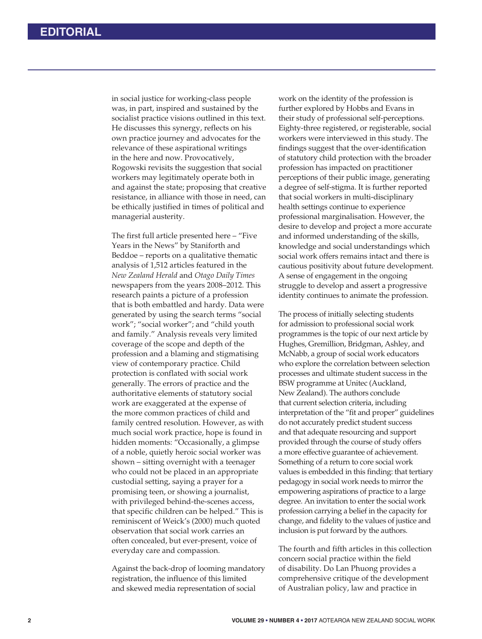in social justice for working-class people was, in part, inspired and sustained by the socialist practice visions outlined in this text. He discusses this synergy, reflects on his own practice journey and advocates for the relevance of these aspirational writings in the here and now. Provocatively, Rogowski revisits the suggestion that social workers may legitimately operate both in and against the state; proposing that creative resistance, in alliance with those in need, can be ethically justified in times of political and managerial austerity.

The first full article presented here – "Five Years in the News" by Staniforth and Beddoe – reports on a qualitative thematic analysis of 1,512 articles featured in the *New Zealand Herald* and *Otago Daily Times* newspapers from the years 2008–2012. This research paints a picture of a profession that is both embattled and hardy. Data were generated by using the search terms "social work"; "social worker"; and "child youth and family." Analysis reveals very limited coverage of the scope and depth of the profession and a blaming and stigmatising view of contemporary practice. Child protection is conflated with social work generally. The errors of practice and the authoritative elements of statutory social work are exaggerated at the expense of the more common practices of child and family centred resolution. However, as with much social work practice, hope is found in hidden moments: "Occasionally, a glimpse of a noble, quietly heroic social worker was shown – sitting overnight with a teenager who could not be placed in an appropriate custodial setting, saying a prayer for a promising teen, or showing a journalist, with privileged behind-the-scenes access, that specific children can be helped." This is reminiscent of Weick's (2000) much quoted observation that social work carries an often concealed, but ever-present, voice of everyday care and compassion.

Against the back-drop of looming mandatory registration, the influence of this limited and skewed media representation of social

work on the identity of the profession is further explored by Hobbs and Evans in their study of professional self-perceptions. Eighty-three registered, or registerable, social workers were interviewed in this study. The findings suggest that the over-identification of statutory child protection with the broader profession has impacted on practitioner perceptions of their public image, generating a degree of self-stigma. It is further reported that social workers in multi-disciplinary health settings continue to experience professional marginalisation. However, the desire to develop and project a more accurate and informed understanding of the skills, knowledge and social understandings which social work offers remains intact and there is cautious positivity about future development. A sense of engagement in the ongoing struggle to develop and assert a progressive identity continues to animate the profession.

The process of initially selecting students for admission to professional social work programmes is the topic of our next article by Hughes, Gremillion, Bridgman, Ashley, and McNabb, a group of social work educators who explore the correlation between selection processes and ultimate student success in the BSW programme at Unitec (Auckland, New Zealand). The authors conclude that current selection criteria, including interpretation of the "fit and proper" guidelines do not accurately predict student success and that adequate resourcing and support provided through the course of study offers a more effective guarantee of achievement. Something of a return to core social work values is embedded in this finding: that tertiary pedagogy in social work needs to mirror the empowering aspirations of practice to a large degree. An invitation to enter the social work profession carrying a belief in the capacity for change, and fidelity to the values of justice and inclusion is put forward by the authors.

The fourth and fifth articles in this collection concern social practice within the field of disability. Do Lan Phuong provides a comprehensive critique of the development of Australian policy, law and practice in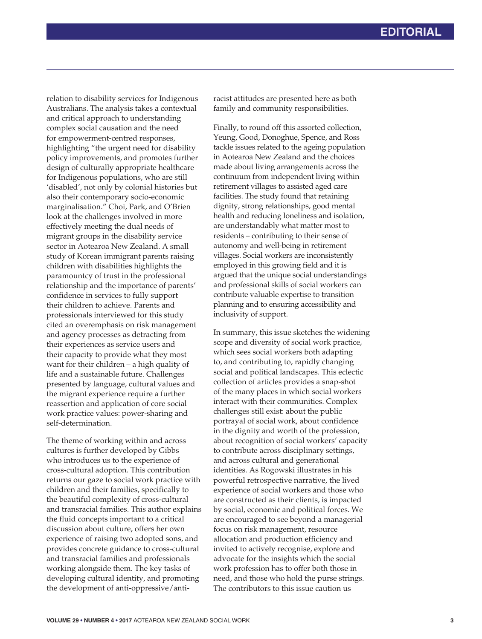relation to disability services for Indigenous Australians. The analysis takes a contextual and critical approach to understanding complex social causation and the need for empowerment-centred responses, highlighting "the urgent need for disability policy improvements, and promotes further design of culturally appropriate healthcare for Indigenous populations, who are still 'disabled', not only by colonial histories but also their contemporary socio-economic marginalisation." Choi, Park, and O'Brien look at the challenges involved in more effectively meeting the dual needs of migrant groups in the disability service sector in Aotearoa New Zealand. A small study of Korean immigrant parents raising children with disabilities highlights the paramountcy of trust in the professional relationship and the importance of parents' confidence in services to fully support their children to achieve. Parents and professionals interviewed for this study cited an overemphasis on risk management and agency processes as detracting from their experiences as service users and their capacity to provide what they most want for their children – a high quality of life and a sustainable future. Challenges presented by language, cultural values and the migrant experience require a further reassertion and application of core social work practice values: power-sharing and self-determination.

The theme of working within and across cultures is further developed by Gibbs who introduces us to the experience of cross-cultural adoption. This contribution returns our gaze to social work practice with children and their families, specifically to the beautiful complexity of cross-cultural and transracial families. This author explains the fluid concepts important to a critical discussion about culture, offers her own experience of raising two adopted sons, and provides concrete guidance to cross-cultural and transracial families and professionals working alongside them. The key tasks of developing cultural identity, and promoting the development of anti-oppressive/antiracist attitudes are presented here as both family and community responsibilities.

Finally, to round off this assorted collection, Yeung, Good, Donoghue, Spence, and Ross tackle issues related to the ageing population in Aotearoa New Zealand and the choices made about living arrangements across the continuum from independent living within retirement villages to assisted aged care facilities. The study found that retaining dignity, strong relationships, good mental health and reducing loneliness and isolation, are understandably what matter most to residents – contributing to their sense of autonomy and well-being in retirement villages. Social workers are inconsistently employed in this growing field and it is argued that the unique social understandings and professional skills of social workers can contribute valuable expertise to transition planning and to ensuring accessibility and inclusivity of support.

In summary, this issue sketches the widening scope and diversity of social work practice, which sees social workers both adapting to, and contributing to, rapidly changing social and political landscapes. This eclectic collection of articles provides a snap-shot of the many places in which social workers interact with their communities. Complex challenges still exist: about the public portrayal of social work, about confidence in the dignity and worth of the profession, about recognition of social workers' capacity to contribute across disciplinary settings, and across cultural and generational identities. As Rogowski illustrates in his powerful retrospective narrative, the lived experience of social workers and those who are constructed as their clients, is impacted by social, economic and political forces. We are encouraged to see beyond a managerial focus on risk management, resource allocation and production efficiency and invited to actively recognise, explore and advocate for the insights which the social work profession has to offer both those in need, and those who hold the purse strings. The contributors to this issue caution us